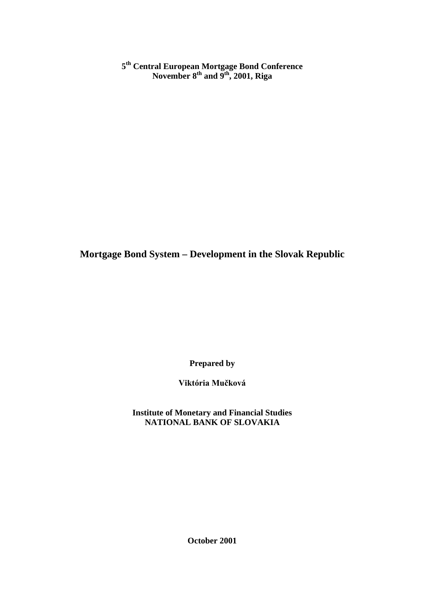**5th Central European Mortgage Bond Conference November 8th and 9th, 2001, Riga**

**Mortgage Bond System – Development in the Slovak Republic**

**Prepared by**

Viktória Mučková

**Institute of Monetary and Financial Studies NATIONAL BANK OF SLOVAKIA**

**October 2001**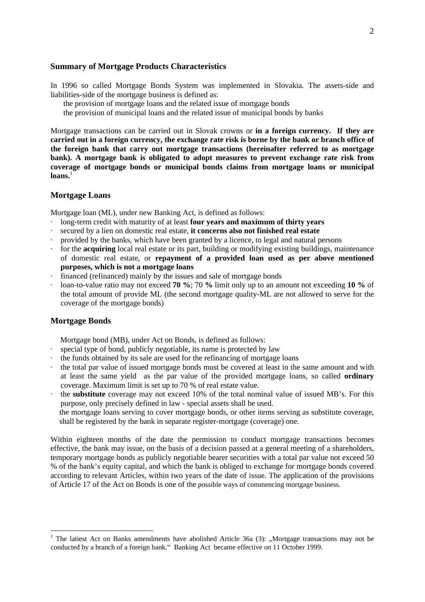#### **Summary of Mortgage Products Characteristics**

In 1996 so called Mortgage Bonds System was implemented in Slovakia. The assets-side and liabilities-side of the mortgage business is defined as:

the provision of mortgage loans and the related issue of mortgage bonds

the provision of municipal loans and the related issue of municipal bonds by banks

Mortgage transactions can be carried out in Slovak crowns or **in a foreign currency. If they are carried out in a foreign currency, the exchange rate risk is borne by the bank or branch office of the foreign bank that carry out mortgage transactions (hereinafter referred to as mortgage bank). A mortgage bank is obligated to adopt measures to prevent exchange rate risk from coverage of mortgage bonds or municipal bonds claims from mortgage loans or municipal**  $l**o**ans.<sup>1</sup>$ 

#### **Mortgage Loans**

Mortgage loan (ML), under new Banking Act, is defined as follows:

- · long-term credit with maturity of at least **four years and maximum of thirty years**
- secured by a lien on domestic real estate, it concerns also not finished real estate
- · provided by the banks, which have been granted by a licence, to legal and natural persons
- · for the **acquiring** local real estate or its part, building or modifying existing buildings, maintenance of domestic real estate, or **repayment of a provided loan used as per above mentioned purposes, which is not a mortgage loans**
- · financed (refinanced) mainly by the issues and sale of mortgage bonds
- · loan-to-value ratio may not exceed **70 %**; 70 **%** limit only up to an amount not exceeding **10 %** of the total amount of provide ML (the second mortgage quality-ML are not allowed to serve for the coverage of the mortgage bonds)

#### **Mortgage Bonds**

l

Mortgage bond (MB), under Act on Bonds, is defined as follows:

- special type of bond, publicly negotiable, its name is protected by law
- · the funds obtained by its sale are used for the refinancing of mortgage loans
- · the total par value of issued mortgage bonds must be covered at least in the same amount and with at least the same yield as the par value of the provided mortgage loans, so called **ordinary** coverage. Maximum limit is set up to 70 % of real estate value.
- · the **substitute** coverage may not exceed 10% of the total nominal value of issued MB's. For this purpose, only precisely defined in law - special assets shall be used.

the mortgage loans serving to cover mortgage bonds, or other items serving as substitute coverage, shall be registered by the bank in separate register-mortgage (coverage) one.

Within eighteen months of the date the permission to conduct mortgage transactions becomes effective, the bank may issue, on the basis of a decision passed at a general meeting of a shareholders, temporary mortgage bonds as publicly negotiable bearer securities with a total par value not exceed 50 % of the bank's equity capital, and which the bank is obliged to exchange for mortgage bonds covered according to relevant Articles, within two years of the date of issue. The application of the provisions of Article 17 of the Act on Bonds is one of the possible ways of commencing mortgage business.

<sup>&</sup>lt;sup>1</sup> The latiest Act on Banks amendments have abolished Article 36a (3): "Mortgage transactions may not be conducted by a branch of a foreign bank." Banking Act became effective on 11 October 1999.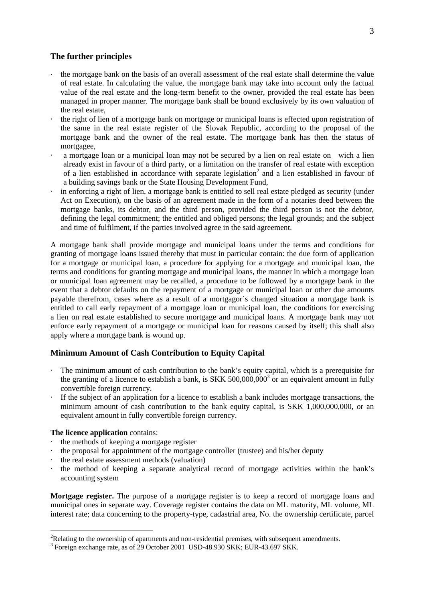#### **The further principles**

- · the mortgage bank on the basis of an overall assessment of the real estate shall determine the value of real estate. In calculating the value, the mortgage bank may take into account only the factual value of the real estate and the long-term benefit to the owner, provided the real estate has been managed in proper manner. The mortgage bank shall be bound exclusively by its own valuation of the real estate,
- · the right of lien of a mortgage bank on mortgage or municipal loans is effected upon registration of the same in the real estate register of the Slovak Republic, according to the proposal of the mortgage bank and the owner of the real estate. The mortgage bank has then the status of mortgagee,
- a mortgage loan or a municipal loan may not be secured by a lien on real estate on wich a lien already exist in favour of a third party, or a limitation on the transfer of real estate with exception of a lien established in accordance with separate legislation<sup>2</sup> and a lien established in favour of a building savings bank or the State Housing Development Fund,
- in enforcing a right of lien, a mortgage bank is entitled to sell real estate pledged as security (under Act on Execution), on the basis of an agreement made in the form of a notaries deed between the mortgage banks, its debtor, and the third person, provided the third person is not the debtor, defining the legal commitment; the entitled and obliged persons; the legal grounds; and the subject and time of fulfilment, if the parties involved agree in the said agreement.

A mortgage bank shall provide mortgage and municipal loans under the terms and conditions for granting of mortgage loans issued thereby that must in particular contain: the due form of application for a mortgage or municipal loan, a procedure for applying for a mortgage and municipal loan, the terms and conditions for granting mortgage and municipal loans, the manner in which a mortgage loan or municipal loan agreement may be recalled, a procedure to be followed by a mortgage bank in the event that a debtor defaults on the repayment of a mortgage or municipal loan or other due amounts payable therefrom, cases where as a result of a mortgagor´s changed situation a mortgage bank is entitled to call early repayment of a mortgage loan or municipal loan, the conditions for exercising a lien on real estate established to secure mortgage and municipal loans. A mortgage bank may not enforce early repayment of a mortgage or municipal loan for reasons caused by itself; this shall also apply where a mortgage bank is wound up.

#### **Minimum Amount of Cash Contribution to Equity Capital**

- The minimum amount of cash contribution to the bank's equity capital, which is a prerequisite for the granting of a licence to establish a bank, is SKK 500,000,000<sup>3</sup> or an equivalent amount in fully convertible foreign currency.
- · If the subject of an application for a licence to establish a bank includes mortgage transactions, the minimum amount of cash contribution to the bank equity capital, is SKK 1,000,000,000, or an equivalent amount in fully convertible foreign currency.

#### **The licence application** contains:

l

- the methods of keeping a mortgage register
- the proposal for appointment of the mortgage controller (trustee) and his/her deputy
- the real estate assessment methods (valuation)
- · the method of keeping a separate analytical record of mortgage activities within the bank's accounting system

**Mortgage register.** The purpose of a mortgage register is to keep a record of mortgage loans and municipal ones in separate way. Coverage register contains the data on ML maturity, ML volume, ML interest rate; data concerning to the property-type, cadastrial area, No. the ownership certificate, parcel

 $2^2$ Relating to the ownership of apartments and non-residential premises, with subsequent amendments.

<sup>&</sup>lt;sup>3</sup> Foreign exchange rate, as of 29 October 2001 USD-48.930 SKK; EUR-43.697 SKK.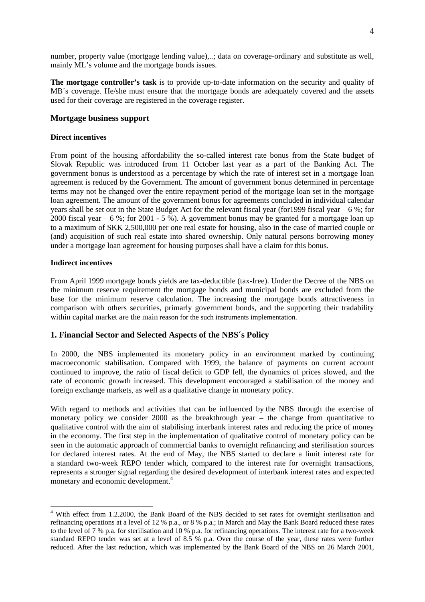number, property value (mortgage lending value),..; data on coverage-ordinary and substitute as well, mainly ML's volume and the mortgage bonds issues.

**The mortgage controller's task** is to provide up-to-date information on the security and quality of MB´s coverage. He/she must ensure that the mortgage bonds are adequately covered and the assets used for their coverage are registered in the coverage register.

#### **Mortgage business support**

#### **Direct incentives**

From point of the housing affordability the so-called interest rate bonus from the State budget of Slovak Republic was introduced from 11 October last year as a part of the Banking Act. The government bonus is understood as a percentage by which the rate of interest set in a mortgage loan agreement is reduced by the Government. The amount of government bonus determined in percentage terms may not be changed over the entire repayment period of the mortgage loan set in the mortgage loan agreement. The amount of the government bonus for agreements concluded in individual calendar years shall be set out in the State Budget Act for the relevant fiscal year (for1999 fiscal year – 6 %; for 2000 fiscal year – 6 %; for 2001 - 5 %). A government bonus may be granted for a mortgage loan up to a maximum of SKK 2,500,000 per one real estate for housing, also in the case of married couple or (and) acquisition of such real estate into shared ownership. Only natural persons borrowing money under a mortgage loan agreement for housing purposes shall have a claim for this bonus.

#### **Indirect incentives**

From April 1999 mortgage bonds yields are tax-deductible (tax-free). Under the Decree of the NBS on the minimum reserve requirement the mortgage bonds and municipal bonds are excluded from the base for the minimum reserve calculation. The increasing the mortgage bonds attractiveness in comparison with others securities, primarly government bonds, and the supporting their tradability within capital market are the main reason for the such instruments implementation.

#### **1. Financial Sector and Selected Aspects of the NBS´s Policy**

In 2000, the NBS implemented its monetary policy in an environment marked by continuing macroeconomic stabilisation. Compared with 1999, the balance of payments on current account continued to improve, the ratio of fiscal deficit to GDP fell, the dynamics of prices slowed, and the rate of economic growth increased. This development encouraged a stabilisation of the money and foreign exchange markets, as well as a qualitative change in monetary policy.

With regard to methods and activities that can be influenced by the NBS through the exercise of monetary policy we consider 2000 as the breakthrough year – the change from quantitative to qualitative control with the aim of stabilising interbank interest rates and reducing the price of money in the economy. The first step in the implementation of qualitative control of monetary policy can be seen in the automatic approach of commercial banks to overnight refinancing and sterilisation sources for declared interest rates. At the end of May, the NBS started to declare a limit interest rate for a standard two-week REPO tender which, compared to the interest rate for overnight transactions, represents a stronger signal regarding the desired development of interbank interest rates and expected monetary and economic development.4

 $\overline{a}$ <sup>4</sup> With effect from 1.2.2000, the Bank Board of the NBS decided to set rates for overnight sterilisation and refinancing operations at a level of 12 % p.a., or 8 % p.a.; in March and May the Bank Board reduced these rates to the level of 7 % p.a. for sterilisation and 10 % p.a. for refinancing operations. The interest rate for a two-week standard REPO tender was set at a level of 8.5 % p.a. Over the course of the year, these rates were further reduced. After the last reduction, which was implemented by the Bank Board of the NBS on 26 March 2001,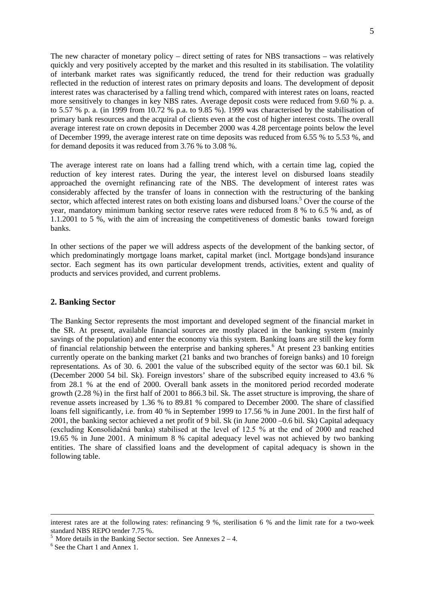The new character of monetary policy – direct setting of rates for NBS transactions – was relatively quickly and very positively accepted by the market and this resulted in its stabilisation. The volatility of interbank market rates was significantly reduced, the trend for their reduction was gradually reflected in the reduction of interest rates on primary deposits and loans. The development of deposit interest rates was characterised by a falling trend which, compared with interest rates on loans, reacted more sensitively to changes in key NBS rates. Average deposit costs were reduced from 9.60 % p. a. to 5.57 % p. a. (in 1999 from 10.72 % p.a. to 9.85 %). 1999 was characterised by the stabilisation of primary bank resources and the acquiral of clients even at the cost of higher interest costs. The overall average interest rate on crown deposits in December 2000 was 4.28 percentage points below the level of December 1999, the average interest rate on time deposits was reduced from 6.55 % to 5.53 %, and for demand deposits it was reduced from 3.76 % to 3.08 %.

The average interest rate on loans had a falling trend which, with a certain time lag, copied the reduction of key interest rates. During the year, the interest level on disbursed loans steadily approached the overnight refinancing rate of the NBS. The development of interest rates was considerably affected by the transfer of loans in connection with the restructuring of the banking sector, which affected interest rates on both existing loans and disbursed loans.<sup>5</sup> Over the course of the year, mandatory minimum banking sector reserve rates were reduced from 8 % to 6.5 % and, as of 1.1.2001 to 5 %, with the aim of increasing the competitiveness of domestic banks toward foreign banks.

In other sections of the paper we will address aspects of the development of the banking sector, of which predominatingly mortgage loans market, capital market (incl. Mortgage bonds)and insurance sector. Each segment has its own particular development trends, activities, extent and quality of products and services provided, and current problems.

#### **2. Banking Sector**

The Banking Sector represents the most important and developed segment of the financial market in the SR. At present, available financial sources are mostly placed in the banking system (mainly savings of the population) and enter the economy via this system. Banking loans are still the key form of financial relationship between the enterprise and banking spheres.<sup>6</sup> At present 23 banking entities currently operate on the banking market (21 banks and two branches of foreign banks) and 10 foreign representations. As of 30. 6. 2001 the value of the subscribed equity of the sector was 60.1 bil. Sk (December 2000 54 bil. Sk). Foreign investors' share of the subscribed equity increased to 43.6 % from 28.1 % at the end of 2000. Overall bank assets in the monitored period recorded moderate growth (2.28 %) in the first half of 2001 to 866.3 bil. Sk. The asset structure is improving, the share of revenue assets increased by 1.36 % to 89.81 % compared to December 2000. The share of classified loans fell significantly, i.e. from 40 % in September 1999 to 17.56 % in June 2001. In the first half of 2001, the banking sector achieved a net profit of 9 bil. Sk (in June 2000 –0.6 bil. Sk) Capital adequacy (excluding Konsolidačná banka) stabilised at the level of 12.5 % at the end of 2000 and reached 19.65 % in June 2001. A minimum 8 % capital adequacy level was not achieved by two banking entities. The share of classified loans and the development of capital adequacy is shown in the following table.

<u>.</u>

interest rates are at the following rates: refinancing 9 %, sterilisation 6 % and the limit rate for a two-week standard NBS REPO tender 7.75 %.

 $<sup>5</sup>$  More details in the Banking Sector section. See Annexes 2 – 4.</sup>

 $6$  See the Chart 1 and Annex 1.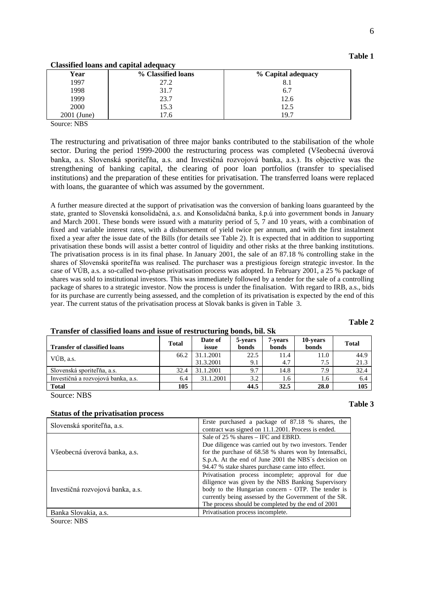| Table 1 |  |
|---------|--|
|         |  |

#### **Classified loans and capital adequacy**

| Year           | % Classified loans | % Capital adequacy |
|----------------|--------------------|--------------------|
| 1997           | 27.2               | $\mathbf{O}$       |
| 1998           | 31.7               | 6.7                |
| 1999           | 23.7               | 12.6               |
| 2000           | 15.3               | 12.5               |
| 2001<br>(June) | .h                 | 19.7               |

Source: NBS

The restructuring and privatisation of three major banks contributed to the stabilisation of the whole sector. During the period 1999-2000 the restructuring process was completed (Všeobecná úverová banka, a.s. Slovenská sporiteľňa, a.s. and Investičná rozvojová banka, a.s.). Its objective was the strengthening of banking capital, the clearing of poor loan portfolios (transfer to specialised institutions) and the preparation of these entities for privatisation. The transferred loans were replaced with loans, the guarantee of which was assumed by the government.

A further measure directed at the support of privatisation was the conversion of banking loans guaranteed by the state, granted to Slovenská konsolidačná, a.s. and Konsolidačná banka, š.p.ú into government bonds in January and March 2001. These bonds were issued with a maturity period of 5, 7 and 10 years, with a combination of fixed and variable interest rates, with a disbursement of yield twice per annum, and with the first instalment fixed a year after the issue date of the Bills (for details see Table 2). It is expected that in addition to supporting privatisation these bonds will assist a better control of liquidity and other risks at the three banking institutions. The privatisation process is in its final phase. In January 2001, the sale of an 87.18 % controlling stake in the shares of Slovenská sporiteľňa was realised. The purchaser was a prestigious foreign strategic investor. In the case of VÚB, a.s. a so-called two-phase privatisation process was adopted. In February 2001, a 25 % package of shares was sold to institutional investors. This was immediately followed by a tender for the sale of a controlling package of shares to a strategic investor. Now the process is under the finalisation. With regard to IRB, a.s., bids for its purchase are currently being assessed, and the completion of its privatisation is expected by the end of this year. The current status of the privatisation process at Slovak banks is given in Table 3.

#### **Table 2**

| <b>Transfer of classified loans</b> | <b>Total</b> | Date of<br>issue | 5-years<br>bonds | 7-vears<br>bonds | 10-years<br>bonds | <b>Total</b> |
|-------------------------------------|--------------|------------------|------------------|------------------|-------------------|--------------|
| VÚB. a.s.                           | 66.2         | 31.1.2001        | 22.5             | 11.4             | 11.0              | 44.9         |
|                                     |              | 31.3.2001        | 9.1              | 4.7              | 7.5               | 21.3         |
| Slovenská sporiteľňa, a.s.          | 32.4         | 31.1.2001        | 9.7              | 14.8             | 7.9               | 32.4         |
| Investičná a rozvojová banka, a.s.  | 6.4          | 31.1.2001        | 3.2              | 1.6              | 1.6               | 6.4          |
| <b>Total</b>                        | 105          |                  | 44.5             | 32.5             | 28.0              | 105          |

#### **Transfer of classified loans and issue of restructuring bonds, bil. Sk**

Source: NBS

#### **Table 3**

|--|

| Slovenská sporiteľňa, a.s.       | Erste purchased a package of 87.18 % shares, the       |
|----------------------------------|--------------------------------------------------------|
|                                  | contract was signed on 11.1.2001. Process is ended.    |
|                                  | Sale of 25 % shares – IFC and EBRD.                    |
|                                  | Due diligence was carried out by two investors. Tender |
| Všeobecná úverová banka, a.s.    | for the purchase of 68.58 % shares won by IntensaBci,  |
|                                  | S.p.A. At the end of June 2001 the NBS's decision on   |
|                                  | 94.47 % stake shares purchase came into effect.        |
|                                  | Privatisation process incomplete; approval for due     |
|                                  | diligence was given by the NBS Banking Supervisory     |
| Investičná rozvojová banka, a.s. | body to the Hungarian concern - OTP. The tender is     |
|                                  | currently being assessed by the Government of the SR.  |
|                                  | The process should be completed by the end of 2001     |
| Banka Slovakia, a.s.             | Privatisation process incomplete.                      |
| $\mathbf{r}$                     |                                                        |

Source: NBS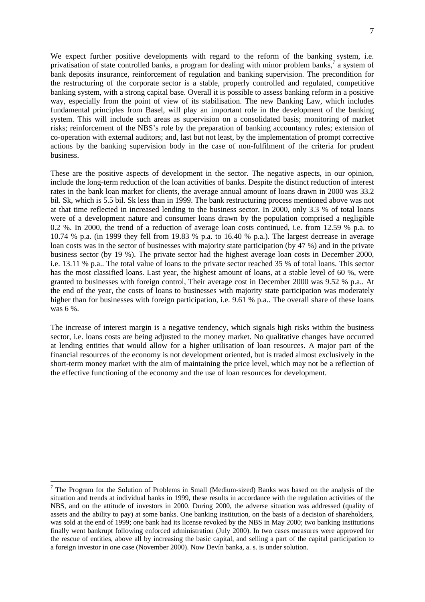We expect further positive developments with regard to the reform of the banking system, i.e. privatisation of state controlled banks, a program for dealing with minor problem banks,<sup>7</sup> a system of bank deposits insurance, reinforcement of regulation and banking supervision. The precondition for the restructuring of the corporate sector is a stable, properly controlled and regulated, competitive banking system, with a strong capital base. Overall it is possible to assess banking reform in a positive way, especially from the point of view of its stabilisation. The new Banking Law, which includes fundamental principles from Basel, will play an important role in the development of the banking system. This will include such areas as supervision on a consolidated basis; monitoring of market risks; reinforcement of the NBS's role by the preparation of banking accountancy rules; extension of co-operation with external auditors; and, last but not least, by the implementation of prompt corrective actions by the banking supervision body in the case of non-fulfilment of the criteria for prudent business.

These are the positive aspects of development in the sector. The negative aspects, in our opinion, include the long-term reduction of the loan activities of banks. Despite the distinct reduction of interest rates in the bank loan market for clients, the average annual amount of loans drawn in 2000 was 33.2 bil. Sk, which is 5.5 bil. Sk less than in 1999. The bank restructuring process mentioned above was not at that time reflected in increased lending to the business sector. In 2000, only 3.3 % of total loans were of a development nature and consumer loans drawn by the population comprised a negligible 0.2 %. In 2000, the trend of a reduction of average loan costs continued, i.e. from 12.59 % p.a. to 10.74 % p.a. (in 1999 they fell from 19.83 % p.a. to 16.40 % p.a.). The largest decrease in average loan costs was in the sector of businesses with majority state participation (by 47 %) and in the private business sector (by 19 %). The private sector had the highest average loan costs in December 2000, i.e. 13.11 % p.a.. The total value of loans to the private sector reached 35 % of total loans. This sector has the most classified loans. Last year, the highest amount of loans, at a stable level of 60 %, were granted to businesses with foreign control, Their average cost in December 2000 was 9.52 % p.a.. At the end of the year, the costs of loans to businesses with majority state participation was moderately higher than for businesses with foreign participation, i.e. 9.61 % p.a.. The overall share of these loans was 6 %.

The increase of interest margin is a negative tendency, which signals high risks within the business sector, i.e. loans costs are being adjusted to the money market. No qualitative changes have occurred at lending entities that would allow for a higher utilisation of loan resources. A major part of the financial resources of the economy is not development oriented, but is traded almost exclusively in the short-term money market with the aim of maintaining the price level, which may not be a reflection of the effective functioning of the economy and the use of loan resources for development.

 $\overline{a}$ 

 $<sup>7</sup>$  The Program for the Solution of Problems in Small (Medium-sized) Banks was based on the analysis of the</sup> situation and trends at individual banks in 1999, these results in accordance with the regulation activities of the NBS, and on the attitude of investors in 2000. During 2000, the adverse situation was addressed (quality of assets and the ability to pay) at some banks. One banking institution, on the basis of a decision of shareholders, was sold at the end of 1999; one bank had its license revoked by the NBS in May 2000; two banking institutions finally went bankrupt following enforced administration (July 2000). In two cases measures were approved for the rescue of entities, above all by increasing the basic capital, and selling a part of the capital participation to a foreign investor in one case (November 2000). Now Devín banka, a. s. is under solution.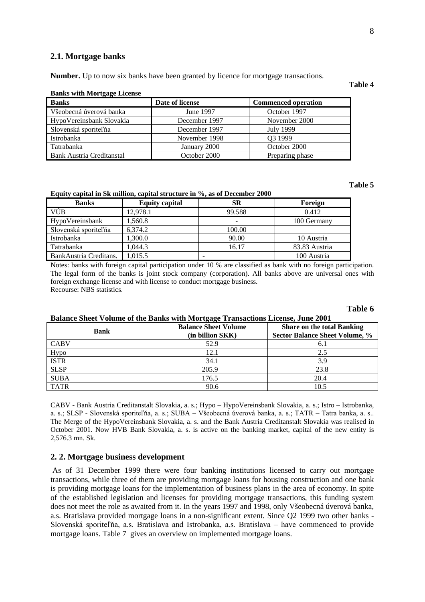#### **2.1. Mortgage banks**

**Number.** Up to now six banks have been granted by licence for mortgage transactions.

#### **Banks with Mortgage License Banks** Date of license Commenced operation Všeobecná úverová banka June 1997 October 1997 HypoVereinsbank Slovakia December 1997 November 2000 Slovenská sporite December 1997 July 1999 Istrobanka November 1998 Q3 1999 Tatrabanka January 2000 October 2000 Bank Austria Creditanstal Creditanstal October 2000 Preparing phase

#### **Equity capital in Sk million, capital structure in %, as of December 2000**

| <b>Banks</b>           | <b>Equity capital</b> | <b>SR</b>                | Foreign       |
|------------------------|-----------------------|--------------------------|---------------|
| VÚB                    | 12,978.1              | 99.588                   | 0.412         |
| HypoVereinsbank        | 1.560.8               | $\overline{\phantom{0}}$ | 100 Germany   |
| Slovenská sporiteľňa   | 6.374.2               | 100.00                   |               |
| Istrobanka             | 1.300.0               | 90.00                    | 10 Austria    |
| Tatrabanka             | 1.044.3               | 16.17                    | 83.83 Austria |
| BankAustria Creditans. | .015.5                | -                        | 100 Austria   |

Notes: banks with foreign capital participation under 10 % are classified as bank with no foreign participation. The legal form of the banks is joint stock company (corporation). All banks above are universal ones with foreign exchange license and with license to conduct mortgage business. Recourse: NBS statistics.

#### **Table 6**

|             | Dalance Sheet Volume of the Daliks with Mortgage Transactions Electise, June 2001 |                                                                            |
|-------------|-----------------------------------------------------------------------------------|----------------------------------------------------------------------------|
| Bank        | <b>Balance Sheet Volume</b><br>(in billion SKK)                                   | <b>Share on the total Banking</b><br><b>Sector Balance Sheet Volume, %</b> |
| <b>CABV</b> | 52.9                                                                              | 6.1                                                                        |
| Hypo        | 12.1                                                                              | 2.5                                                                        |
| <b>ISTR</b> | 34.1                                                                              | 3.9                                                                        |
| <b>SLSP</b> | 205.9                                                                             | 23.8                                                                       |
| <b>SUBA</b> | 176.5                                                                             | 20.4                                                                       |
| <b>TATR</b> | 90.6                                                                              | 10.5                                                                       |

#### **Balance Sheet Volume of the Banks with Mortgage Transactions License, June 2001**

CABV - Bank Austria Creditanstalt Slovakia, a. s.; Hypo – HypoVereinsbank Slovakia, a. s.; Istro – Istrobanka, a. s.; SLSP - Slovenská sporiteľňa, a. s.; SUBA – Všeobecná úverová banka, a. s.; TATR – Tatra banka, a. s.. The Merge of the HypoVereinsbank Slovakia, a. s. and the Bank Austria Creditanstalt Slovakia was realised in October 2001. Now HVB Bank Slovakia, a. s. is active on the banking market, capital of the new entity is 2,576.3 mn. Sk.

#### **2. 2. Mortgage business development**

As of 31 December 1999 there were four banking institutions licensed to carry out mortgage transactions, while three of them are providing mortgage loans for housing construction and one bank is providing mortgage loans for the implementation of business plans in the area of economy. In spite of the established legislation and licenses for providing mortgage transactions, this funding system does not meet the role as awaited from it. In the years 1997 and 1998, only Všeobecná úverová banka, a.s. Bratislava provided mortgage loans in a non-significant extent. Since Q2 1999 two other banks - Slovenská sporiteľňa, a.s. Bratislava and Istrobanka, a.s. Bratislava - have commenced to provide mortgage loans. Table 7 gives an overview on implemented mortgage loans.

#### **Table 4**

**Table 5**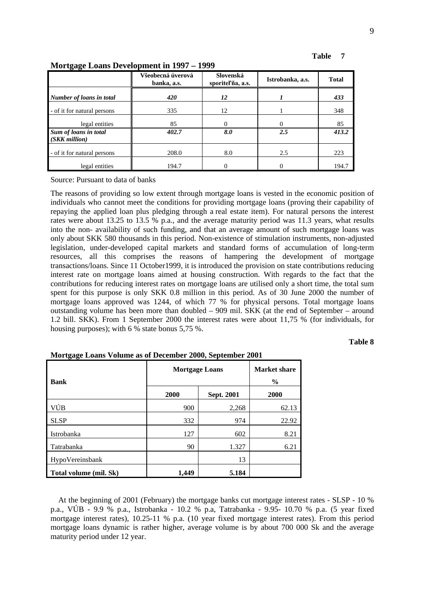| Table 7 |  |
|---------|--|
|         |  |

| <u> Mortgage Loans Development In 1997 – 1999</u> |                                  |                                |                  |              |
|---------------------------------------------------|----------------------------------|--------------------------------|------------------|--------------|
|                                                   | Všeobecná úverová<br>banka, a.s. | Slovenská<br>sporitel'na, a.s. | Istrobanka, a.s. | <b>Total</b> |
| Number of loans in total                          | 420                              | 12                             |                  | 433          |
| - of it for natural persons                       | 335                              | 12                             |                  | 348          |
| legal entities                                    | 85                               | 0                              | 0                | 85           |
| Sum of loans in total<br>(SKK million)            | 402.7                            | 8.0                            | 2.5              | 413.2        |
| - of it for natural persons                       | 208.0                            | 8.0                            | 2.5              | 223          |
| legal entities                                    | 194.7                            | 0                              |                  | 194.7        |

### **Mortgage Loans Development in 1997 – 1999**

Source: Pursuant to data of banks

The reasons of providing so low extent through mortgage loans is vested in the economic position of individuals who cannot meet the conditions for providing mortgage loans (proving their capability of repaying the applied loan plus pledging through a real estate item). For natural persons the interest rates were about 13.25 to 13.5 % p.a., and the average maturity period was 11.3 years, what results into the non- availability of such funding, and that an average amount of such mortgage loans was only about SKK 580 thousands in this period. Non-existence of stimulation instruments, non-adjusted legislation, under-developed capital markets and standard forms of accumulation of long-term resources, all this comprises the reasons of hampering the development of mortgage transactions/loans. Since 11 October1999, it is introduced the provision on state contributions reducing interest rate on mortgage loans aimed at housing construction. With regards to the fact that the contributions for reducing interest rates on mortgage loans are utilised only a short time, the total sum spent for this purpose is only SKK 0.8 million in this period. As of 30 June 2000 the number of mortgage loans approved was 1244, of which 77 % for physical persons. Total mortgage loans outstanding volume has been more than doubled – 909 mil. SKK (at the end of September – around 1.2 bill. SKK). From 1 September 2000 the interest rates were about 11,75 % (for individuals, for housing purposes); with 6 % state bonus 5,75 %.

#### **Table 8**

| <b>Bank</b>            | <b>Mortgage Loans</b> |            | <b>Market share</b><br>$\frac{6}{9}$ |
|------------------------|-----------------------|------------|--------------------------------------|
|                        | 2000                  | Sept. 2001 | 2000                                 |
| VÚB                    | 900                   | 2,268      | 62.13                                |
| <b>SLSP</b>            | 332                   | 974        | 22.92                                |
| Istrobanka             | 127                   | 602        | 8.21                                 |
| Tatrabanka             | 90                    | 1.327      | 6.21                                 |
| HypoVereinsbank        |                       | 13         |                                      |
| Total volume (mil. Sk) | 1,449                 | 5.184      |                                      |

| Mortgage Loans Volume as of December 2000, September 2001 |
|-----------------------------------------------------------|
|-----------------------------------------------------------|

At the beginning of 2001 (February) the mortgage banks cut mortgage interest rates - SLSP - 10 % p.a., VÚB - 9.9 % p.a., Istrobanka - 10.2 % p.a, Tatrabanka - 9.95- 10.70 % p.a. (5 year fixed mortgage interest rates), 10.25-11 % p.a. (10 year fixed mortgage interest rates). From this period mortgage loans dynamic is rather higher, average volume is by about 700 000 Sk and the average maturity period under 12 year.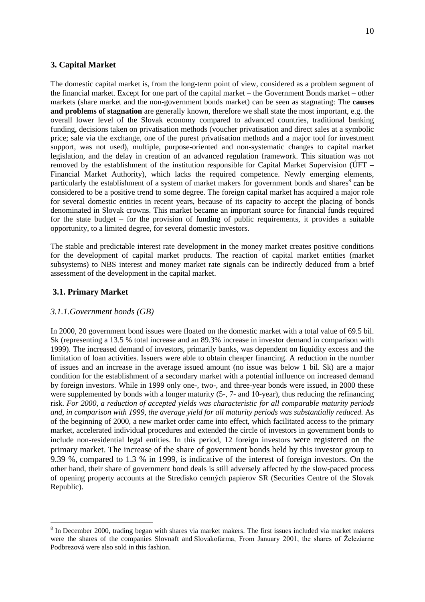#### **3. Capital Market**

The domestic capital market is, from the long-term point of view, considered as a problem segment of the financial market. Except for one part of the capital market – the Government Bonds market – other markets (share market and the non-government bonds market) can be seen as stagnating: The **causes and problems of stagnation** are generally known, therefore we shall state the most important, e.g. the overall lower level of the Slovak economy compared to advanced countries, traditional banking funding, decisions taken on privatisation methods (voucher privatisation and direct sales at a symbolic price; sale via the exchange, one of the purest privatisation methods and a major tool for investment support, was not used), multiple, purpose-oriented and non-systematic changes to capital market legislation, and the delay in creation of an advanced regulation framework. This situation was not removed by the establishment of the institution responsible for Capital Market Supervision (ÚFT – Financial Market Authority), which lacks the required competence. Newly emerging elements, particularly the establishment of a system of market makers for government bonds and shares<sup>8</sup> can be considered to be a positive trend to some degree. The foreign capital market has acquired a major role for several domestic entities in recent years, because of its capacity to accept the placing of bonds denominated in Slovak crowns. This market became an important source for financial funds required for the state budget – for the provision of funding of public requirements, it provides a suitable opportunity, to a limited degree, for several domestic investors.

The stable and predictable interest rate development in the money market creates positive conditions for the development of capital market products. The reaction of capital market entities (market subsystems) to NBS interest and money market rate signals can be indirectly deduced from a brief assessment of the development in the capital market.

#### **3.1. Primary Market**

 $\overline{a}$ 

#### *3.1.1.Government bonds (GB)*

In 2000, 20 government bond issues were floated on the domestic market with a total value of 69.5 bil. Sk (representing a 13.5 % total increase and an 89.3% increase in investor demand in comparison with 1999). The increased demand of investors, primarily banks, was dependent on liquidity excess and the limitation of loan activities. Issuers were able to obtain cheaper financing. A reduction in the number of issues and an increase in the average issued amount (no issue was below 1 bil. Sk) are a major condition for the establishment of a secondary market with a potential influence on increased demand by foreign investors. While in 1999 only one-, two-, and three-year bonds were issued, in 2000 these were supplemented by bonds with a longer maturity (5-, 7- and 10-year), thus reducing the refinancing risk. *For 2000, a reduction of accepted yields was characteristic for all comparable maturity periods and, in comparison with 1999, the average yield for all maturity periods was substantially reduced.* As of the beginning of 2000, a new market order came into effect, which facilitated access to the primary market, accelerated individual procedures and extended the circle of investors in government bonds to include non-residential legal entities. In this period, 12 foreign investors were registered on the primary market. The increase of the share of government bonds held by this investor group to 9.39 %, compared to 1.3 % in 1999, is indicative of the interest of foreign investors. On the other hand, their share of government bond deals is still adversely affected by the slow-paced process of opening property accounts at the Stredisko cenných papierov SR (Securities Centre of the Slovak Republic).

<sup>&</sup>lt;sup>8</sup> In December 2000, trading began with shares via market makers. The first issues included via market makers were the shares of the companies Slovnaft and Slovakofarma, From January 2001, the shares of Železiarne Podbrezová were also sold in this fashion.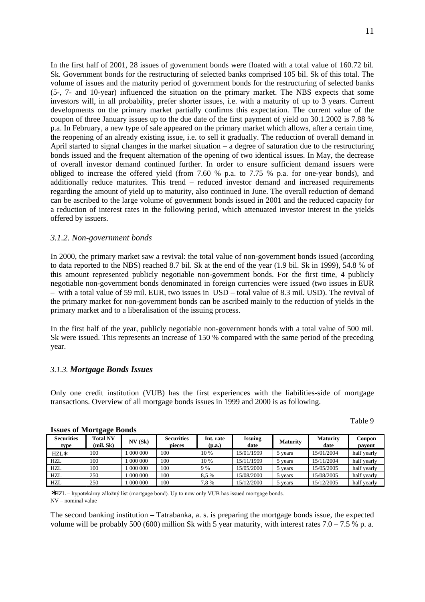In the first half of 2001, 28 issues of government bonds were floated with a total value of 160.72 bil. Sk. Government bonds for the restructuring of selected banks comprised 105 bil. Sk of this total. The volume of issues and the maturity period of government bonds for the restructuring of selected banks (5-, 7- and 10-year) influenced the situation on the primary market. The NBS expects that some investors will, in all probability, prefer shorter issues, i.e. with a maturity of up to 3 years. Current developments on the primary market partially confirms this expectation. The current value of the coupon of three January issues up to the due date of the first payment of yield on 30.1.2002 is 7.88 % p.a. In February, a new type of sale appeared on the primary market which allows, after a certain time, the reopening of an already existing issue, i.e. to sell it gradually. The reduction of overall demand in April started to signal changes in the market situation – a degree of saturation due to the restructuring bonds issued and the frequent alternation of the opening of two identical issues. In May, the decrease of overall investor demand continued further. In order to ensure sufficient demand issuers were obliged to increase the offered yield (from 7.60 % p.a. to 7.75 % p.a. for one-year bonds), and additionally reduce maturites. This trend – reduced investor demand and increased requirements regarding the amount of yield up to maturity, also continued in June. The overall reduction of demand can be ascribed to the large volume of government bonds issued in 2001 and the reduced capacity for a reduction of interest rates in the following period, which attenuated investor interest in the yields offered by issuers.

#### *3.1.2. Non-government bonds*

In 2000, the primary market saw a revival: the total value of non-government bonds issued (according to data reported to the NBS) reached 8.7 bil. Sk at the end of the year (1.9 bil. Sk in 1999), 54.8 % of this amount represented publicly negotiable non-government bonds. For the first time, 4 publicly negotiable non-government bonds denominated in foreign currencies were issued (two issues in EUR – with a total value of 59 mil. EUR, two issues in USD – total value of 8.3 mil. USD). The revival of the primary market for non-government bonds can be ascribed mainly to the reduction of yields in the primary market and to a liberalisation of the issuing process.

In the first half of the year, publicly negotiable non-government bonds with a total value of 500 mil. Sk were issued. This represents an increase of 150 % compared with the same period of the preceding year.

#### *3.1.3. Mortgage Bonds Issues*

Only one credit institution (VUB) has the first experiences with the liabilities-side of mortgage transactions. Overview of all mortgage bonds issues in 1999 and 2000 is as following.

| `able |  |
|-------|--|
|-------|--|

#### **Securities type Total NV (mil. Sk) NV (Sk) Securities pieces Int. rate (p.a.) Issuing date Maturity Maturity Maturity date date Coupon payout** HZL<sup>\*</sup> 100 1 000 000 100 10<sup>%</sup> 15/01/1999 1 5 years 15/01/2004 half yearly HZL 100 1 000 000 100 10% 15/11/1999 5 years 15/11/2004 half yearly HZL 100 1 000 000 100 9% 15/05/2000 5 years 15/05/2005 half yearly HZL 250 1 000 000 100 8,5 % 1 15/08/2000 5 years 15/08/2005 half yearly HZL 250 1 000 000 100 7,8 % 15/12/2000 5 years 15/12/2005 half yearly

#### **Issues of Mortgage Bonds**

\*HZL - hypotekárny záložný list (mortgage bond). Up to now only VUB has issued mortgage bonds. NV – nominal value

The second banking institution – Tatrabanka, a. s. is preparing the mortgage bonds issue, the expected volume will be probably 500 (600) million Sk with 5 year maturity, with interest rates  $7.0 - 7.5$  % p. a.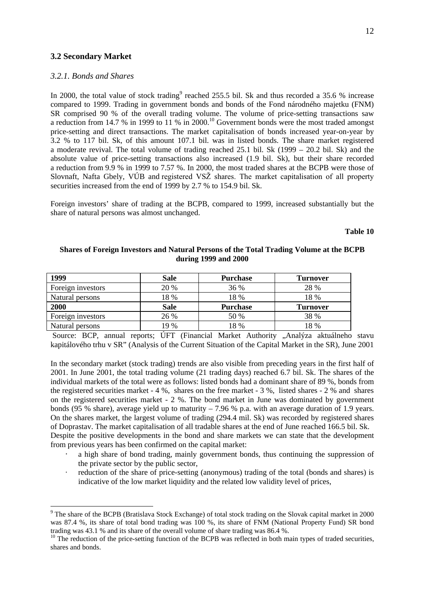#### **3.2 Secondary Market**

#### *3.2.1. Bonds and Shares*

 $\overline{a}$ 

In 2000, the total value of stock trading<sup>9</sup> reached 255.5 bil. Sk and thus recorded a 35.6 % increase compared to 1999. Trading in government bonds and bonds of the Fond národného majetku (FNM) SR comprised 90 % of the overall trading volume. The volume of price-setting transactions saw a reduction from 14.7 % in 1999 to 11 % in  $2000$ .<sup>10</sup> Government bonds were the most traded amongst price-setting and direct transactions. The market capitalisation of bonds increased year-on-year by 3.2 % to 117 bil. Sk, of this amount 107.1 bil. was in listed bonds. The share market registered a moderate revival. The total volume of trading reached 25.1 bil. Sk (1999 – 20.2 bil. Sk) and the absolute value of price-setting transactions also increased (1.9 bil. Sk), but their share recorded a reduction from 9.9 % in 1999 to 7.57 %. In 2000, the most traded shares at the BCPB were those of Slovnaft, Nafta Gbely, VÚB and registered VSŽ shares. The market capitalisation of all property securities increased from the end of 1999 by 2.7 % to 154.9 bil. Sk.

Foreign investors' share of trading at the BCPB, compared to 1999, increased substantially but the share of natural persons was almost unchanged.

#### **Table 10**

#### **Shares of Foreign Investors and Natural Persons of the Total Trading Volume at the BCPB during 1999 and 2000**

| 1999              | <b>Sale</b> | <b>Purchase</b> | <b>Turnover</b> |
|-------------------|-------------|-----------------|-----------------|
| Foreign investors | 20 %        | 36 %            | 28 %            |
| Natural persons   | 18 %        | 18 %            | 18 %            |
| 2000              | <b>Sale</b> | <b>Purchase</b> | <b>Turnover</b> |
| Foreign investors | 26 %        | 50 %            | 38 %            |
| Natural persons   | 19 %        | 18 %            | 18 %            |

Source: BCP, annual reports; ÚFT (Financial Market Authority "Analýza aktuálneho stavu kapitálového trhu v SR" (Analysis of the Current Situation of the Capital Market in the SR), June 2001

In the secondary market (stock trading) trends are also visible from preceding years in the first half of 2001. In June 2001, the total trading volume (21 trading days) reached 6.7 bil. Sk. The shares of the individual markets of the total were as follows: listed bonds had a dominant share of 89 %, bonds from the registered securities market - 4 %, shares on the free market - 3 %, listed shares - 2 % and shares on the registered securities market - 2 %. The bond market in June was dominated by government bonds (95 % share), average yield up to maturity – 7.96 % p.a. with an average duration of 1.9 years. On the shares market, the largest volume of trading (294.4 mil. Sk) was recorded by registered shares of Doprastav. The market capitalisation of all tradable shares at the end of June reached 166.5 bil. Sk. Despite the positive developments in the bond and share markets we can state that the development from previous years has been confirmed on the capital market:

- a high share of bond trading, mainly government bonds, thus continuing the suppression of the private sector by the public sector,
- reduction of the share of price-setting (anonymous) trading of the total (bonds and shares) is indicative of the low market liquidity and the related low validity level of prices,

<sup>&</sup>lt;sup>9</sup> The share of the BCPB (Bratislava Stock Exchange) of total stock trading on the Slovak capital market in 2000 was 87.4 %, its share of total bond trading was 100 %, its share of FNM (National Property Fund) SR bond trading was 43.1 % and its share of the overall volume of share trading was 86.4 %.

 $10$  The reduction of the price-setting function of the BCPB was reflected in both main types of traded securities, shares and bonds.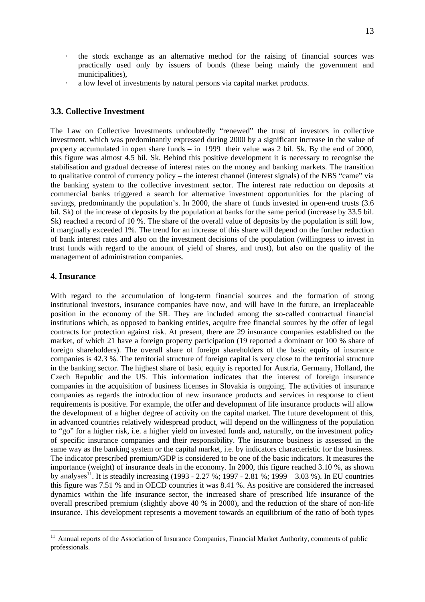- · the stock exchange as an alternative method for the raising of financial sources was practically used only by issuers of bonds (these being mainly the government and municipalities),
- · a low level of investments by natural persons via capital market products.

### **3.3. Collective Investment**

The Law on Collective Investments undoubtedly "renewed" the trust of investors in collective investment, which was predominantly expressed during 2000 by a significant increase in the value of property accumulated in open share funds – in 1999 their value was 2 bil. Sk. By the end of 2000, this figure was almost 4.5 bil. Sk. Behind this positive development it is necessary to recognise the stabilisation and gradual decrease of interest rates on the money and banking markets. The transition to qualitative control of currency policy – the interest channel (interest signals) of the NBS "came" via the banking system to the collective investment sector. The interest rate reduction on deposits at commercial banks triggered a search for alternative investment opportunities for the placing of savings, predominantly the population's. In 2000, the share of funds invested in open-end trusts (3.6 bil. Sk) of the increase of deposits by the population at banks for the same period (increase by 33.5 bil. Sk) reached a record of 10 %. The share of the overall value of deposits by the population is still low, it marginally exceeded 1%. The trend for an increase of this share will depend on the further reduction of bank interest rates and also on the investment decisions of the population (willingness to invest in trust funds with regard to the amount of yield of shares, and trust), but also on the quality of the management of administration companies.

#### **4. Insurance**

l

With regard to the accumulation of long-term financial sources and the formation of strong institutional investors, insurance companies have now, and will have in the future, an irreplaceable position in the economy of the SR. They are included among the so-called contractual financial institutions which, as opposed to banking entities, acquire free financial sources by the offer of legal contracts for protection against risk. At present, there are 29 insurance companies established on the market, of which 21 have a foreign property participation (19 reported a dominant or 100 % share of foreign shareholders). The overall share of foreign shareholders of the basic equity of insurance companies is 42.3 %. The territorial structure of foreign capital is very close to the territorial structure in the banking sector. The highest share of basic equity is reported for Austria, Germany, Holland, the Czech Republic and the US. This information indicates that the interest of foreign insurance companies in the acquisition of business licenses in Slovakia is ongoing. The activities of insurance companies as regards the introduction of new insurance products and services in response to client requirements is positive. For example, the offer and development of life insurance products will allow the development of a higher degree of activity on the capital market. The future development of this, in advanced countries relatively widespread product, will depend on the willingness of the population to "go" for a higher risk, i.e. a higher yield on invested funds and, naturally, on the investment policy of specific insurance companies and their responsibility. The insurance business is assessed in the same way as the banking system or the capital market, i.e. by indicators characteristic for the business. The indicator prescribed premium/GDP is considered to be one of the basic indicators. It measures the importance (weight) of insurance deals in the economy. In 2000, this figure reached 3.10 %, as shown by analyses<sup>11</sup>. It is steadily increasing (1993 - 2.27 %; 1997 - 2.81 %; 1999 – 3.03 %). In EU countries this figure was 7.51 % and in OECD countries it was 8.41 %. As positive are considered the increased dynamics within the life insurance sector, the increased share of prescribed life insurance of the overall prescribed premium (slightly above 40 % in 2000), and the reduction of the share of non-life insurance. This development represents a movement towards an equilibrium of the ratio of both types

 $11$  Annual reports of the Association of Insurance Companies, Financial Market Authority, comments of public professionals.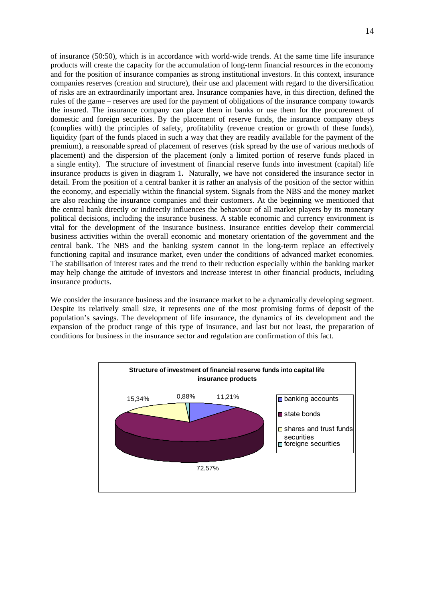of insurance (50:50), which is in accordance with world-wide trends. At the same time life insurance products will create the capacity for the accumulation of long-term financial resources in the economy and for the position of insurance companies as strong institutional investors. In this context, insurance companies reserves (creation and structure), their use and placement with regard to the diversification of risks are an extraordinarily important area. Insurance companies have, in this direction, defined the rules of the game – reserves are used for the payment of obligations of the insurance company towards the insured. The insurance company can place them in banks or use them for the procurement of domestic and foreign securities. By the placement of reserve funds, the insurance company obeys (complies with) the principles of safety, profitability (revenue creation or growth of these funds), liquidity (part of the funds placed in such a way that they are readily available for the payment of the premium), a reasonable spread of placement of reserves (risk spread by the use of various methods of placement) and the dispersion of the placement (only a limited portion of reserve funds placed in a single entity). The structure of investment of financial reserve funds into investment (capital) life insurance products is given in diagram 1**.** Naturally, we have not considered the insurance sector in detail. From the position of a central banker it is rather an analysis of the position of the sector within the economy, and especially within the financial system. Signals from the NBS and the money market are also reaching the insurance companies and their customers. At the beginning we mentioned that the central bank directly or indirectly influences the behaviour of all market players by its monetary political decisions, including the insurance business. A stable economic and currency environment is vital for the development of the insurance business. Insurance entities develop their commercial business activities within the overall economic and monetary orientation of the government and the central bank. The NBS and the banking system cannot in the long-term replace an effectively functioning capital and insurance market, even under the conditions of advanced market economies. The stabilisation of interest rates and the trend to their reduction especially within the banking market may help change the attitude of investors and increase interest in other financial products, including insurance products.

We consider the insurance business and the insurance market to be a dynamically developing segment. Despite its relatively small size, it represents one of the most promising forms of deposit of the population's savings. The development of life insurance, the dynamics of its development and the expansion of the product range of this type of insurance, and last but not least, the preparation of conditions for business in the insurance sector and regulation are confirmation of this fact.

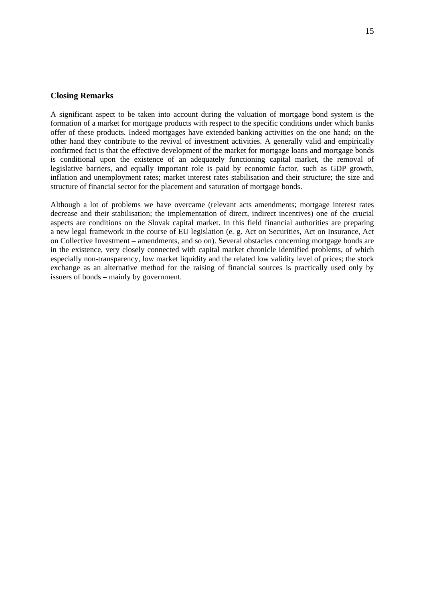#### **Closing Remarks**

A significant aspect to be taken into account during the valuation of mortgage bond system is the formation of a market for mortgage products with respect to the specific conditions under which banks offer of these products. Indeed mortgages have extended banking activities on the one hand; on the other hand they contribute to the revival of investment activities. A generally valid and empirically confirmed fact is that the effective development of the market for mortgage loans and mortgage bonds is conditional upon the existence of an adequately functioning capital market, the removal of legislative barriers, and equally important role is paid by economic factor, such as GDP growth, inflation and unemployment rates; market interest rates stabilisation and their structure; the size and structure of financial sector for the placement and saturation of mortgage bonds.

Although a lot of problems we have overcame (relevant acts amendments; mortgage interest rates decrease and their stabilisation; the implementation of direct, indirect incentives) one of the crucial aspects are conditions on the Slovak capital market. In this field financial authorities are preparing a new legal framework in the course of EU legislation (e. g. Act on Securities, Act on Insurance, Act on Collective Investment – amendments, and so on). Several obstacles concerning mortgage bonds are in the existence, very closely connected with capital market chronicle identified problems, of which especially non-transparency, low market liquidity and the related low validity level of prices; the stock exchange as an alternative method for the raising of financial sources is practically used only by issuers of bonds – mainly by government.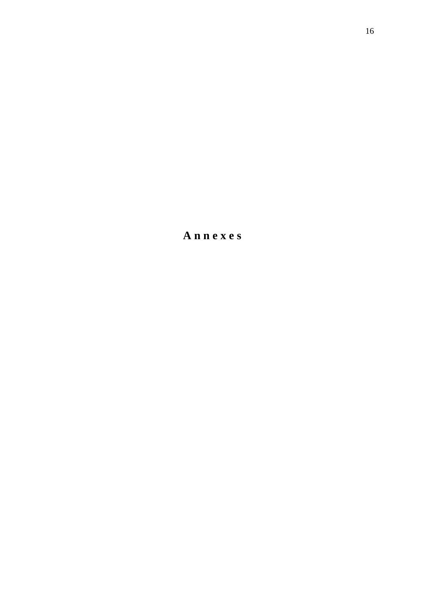**A n n e x e s**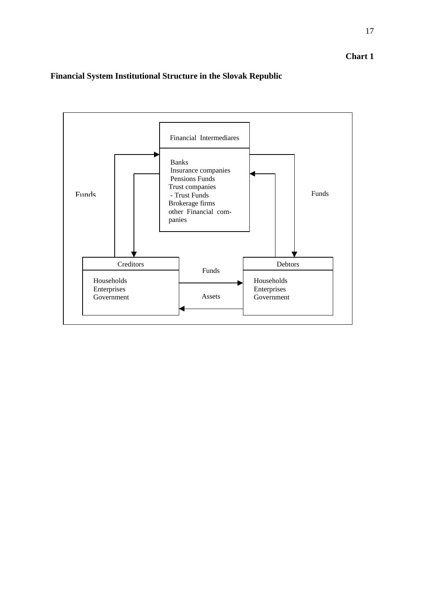17

# **Financial System Institutional Structure in the Slovak Republic**

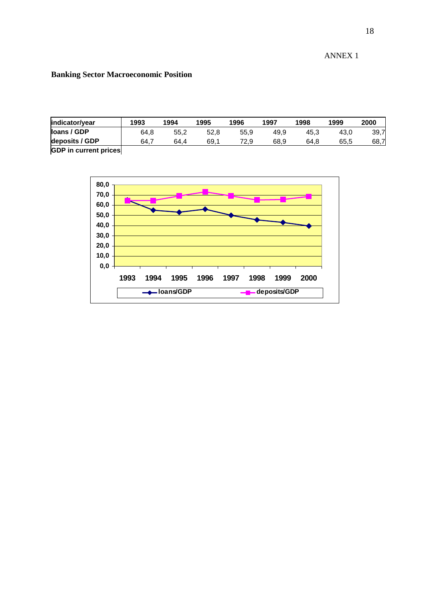ANNEX 1

## **Banking Sector Macroeconomic Position**

| indicator/year        | 1993 | 1994 | 1995 | 1996 | 1997 | 1998 | 1999 | 2000 |
|-----------------------|------|------|------|------|------|------|------|------|
| loans / GDP           | 64,8 | 55,2 | 52,8 | 55.9 | 49,9 | 45.3 | 43,0 | 39.7 |
| deposits / GDP        | 64.7 | 64.4 | 69,1 | 72.9 | 68,9 | 64.8 | 65,5 | 68,7 |
| ODD to account waters |      |      |      |      |      |      |      |      |

**GDP in current prices** 

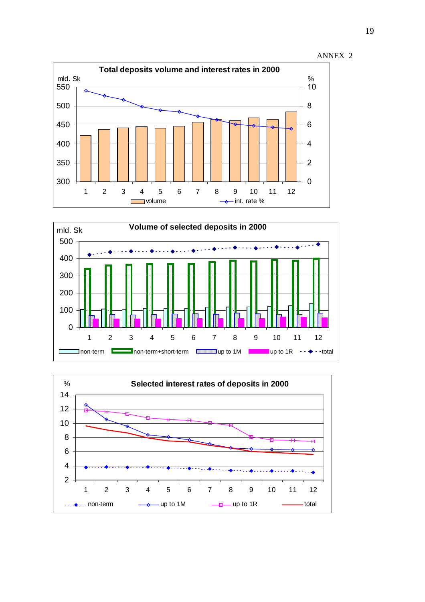





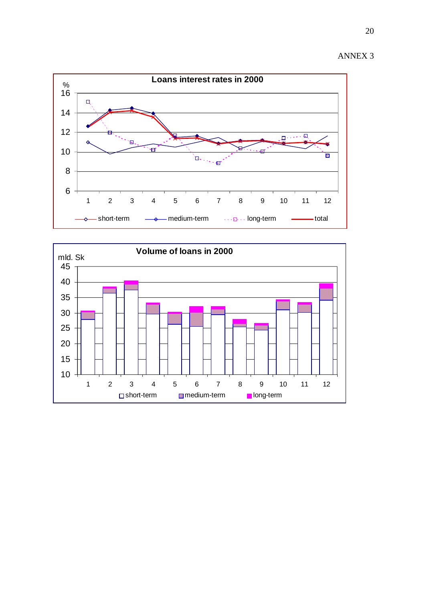

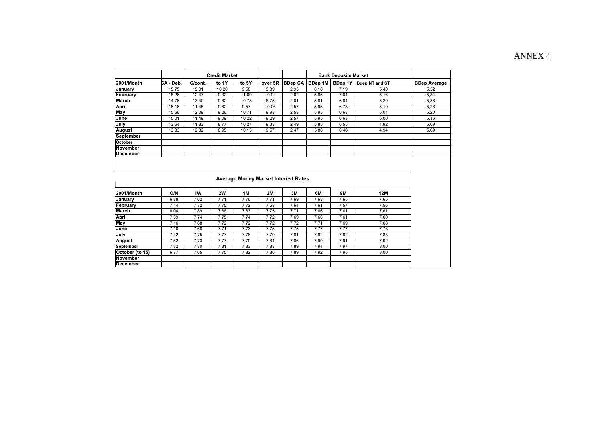# ANNEX 4

|                 |           | <b>Credit Market</b> |           |       |           | <b>Bank Deposits Market</b>                |         |           |                       |                     |
|-----------------|-----------|----------------------|-----------|-------|-----------|--------------------------------------------|---------|-----------|-----------------------|---------------------|
| 2001/Month      | CA - Deb. | C/cont.              | to 1Y     | to 5Y | over 5R   | <b>BDep CA</b>                             | BDep 1M | BDep 1Y   | <b>Bdep NT and ST</b> | <b>BDep Average</b> |
| January         | 15,75     | 15,01                | 10,20     | 9.58  | 9,39      | 2,93                                       | 6,16    | 7,19      | 5,40                  | 5,52                |
| February        | 18,26     | 12,47                | 9,32      | 11,69 | 10,94     | 2,62                                       | 5,86    | 7,04      | 5,16                  | 5,34                |
| <b>March</b>    | 14,76     | 13,40                | 9,82      | 10,78 | 8,75      | 2,61                                       | 5,81    | 6,84      | 5,20                  | 5,36                |
| <b>April</b>    | 15.16     | 11,45                | 9,62      | 9,57  | 10,06     | 2,57                                       | 5.95    | 6.73      | 5,10                  | 5,26                |
| May             | 15.66     | 12,09                | 9,26      | 10.71 | 9.98      | 2,53                                       | 5,95    | 6.68      | 5.04                  | 5,20                |
| June            | 15,01     | 11,49                | 9,09      | 10,22 | 9,29      | 2,57                                       | 5,95    | 6,63      | 5,00                  | 5,16                |
| July            | 13,64     | 11,83                | 8,77      | 10,27 | 9,33      | 2,49                                       | 5,85    | 6,55      | 4,92                  | 5,09                |
| August          | 13.83     | 12,32                | 8,95      | 10,13 | 9.57      | 2,47                                       | 5,88    | 6,46      | 4,94                  | 5,09                |
| September       |           |                      |           |       |           |                                            |         |           |                       |                     |
| October         |           |                      |           |       |           |                                            |         |           |                       |                     |
| <b>November</b> |           |                      |           |       |           |                                            |         |           |                       |                     |
| <b>December</b> |           |                      |           |       |           |                                            |         |           |                       |                     |
|                 |           |                      |           |       |           |                                            |         |           |                       |                     |
|                 |           |                      |           |       |           | <b>Average Money Market Interest Rates</b> |         |           |                       |                     |
| 2001/Month      | O/N       | 1W                   | <b>2W</b> | 1M    | <b>2M</b> | 3M                                         | 6M      | <b>9M</b> | 12M                   |                     |
| January         | 6.88      | 7,62                 | 7,71      | 7,76  | 7,71      | 7,69                                       | 7,68    | 7,65      | 7,65                  |                     |
| February        | 7,14      | 7,72                 | 7,75      | 7,72  | 7,68      | 7,64                                       | 7,61    | 7,57      | 7,56                  |                     |
| March           | 8,04      | 7,89                 | 7,88      | 7,83  | 7,75      | 7,71                                       | 7,66    | 7,61      | 7,61                  |                     |
| April           | 7,39      | 7,74                 | 7,75      | 7,74  | 7,72      | 7,69                                       | 7,66    | 7,61      | 7,60                  |                     |
| May             | 7,16      | 7,68                 | 7,72      | 7,72  | 7,72      | 7,72                                       | 7,71    | 7,69      | 7,68                  |                     |
| June            | 7,16      | 7,68                 | 7,71      | 7,73  | 7,75      | 7,75                                       | 7,77    | 7,77      | 7,78                  |                     |
| July            | 7,42      | 7,75                 | 7,77      | 7,78  | 7,79      | 7,81                                       | 7,82    | 7,82      | 7,83                  |                     |
| August          | 7,52      | 7,73                 | 7,77      | 7,79  | 7,84      | 7,86                                       | 7,90    | 7,91      | 7.92                  |                     |
| September       | 7,82      | 7,80                 | 7,81      | 7,83  | 7,88      | 7,89                                       | 7,94    | 7,97      | 8,00                  |                     |
| October (to 15) | 6,77      | 7,65                 | 7,75      | 7,82  | 7,86      | 7,89                                       | 7,92    | 7,95      | 8,00                  |                     |
| November        |           |                      |           |       |           |                                            |         |           |                       |                     |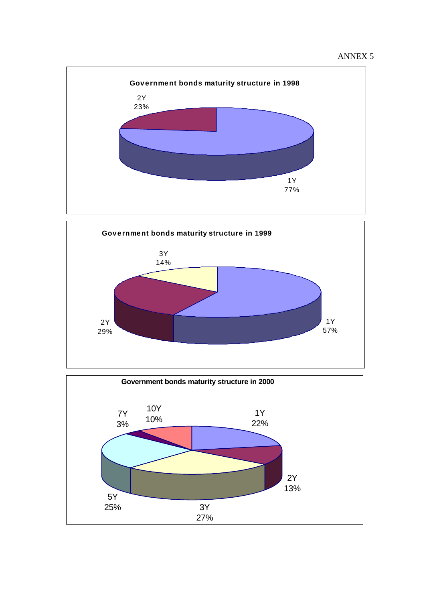





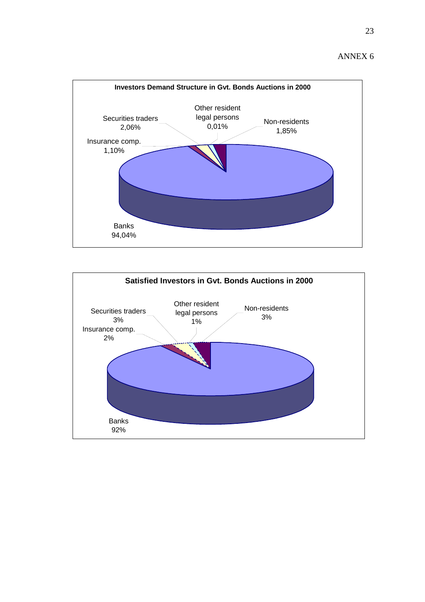ANNEX 6



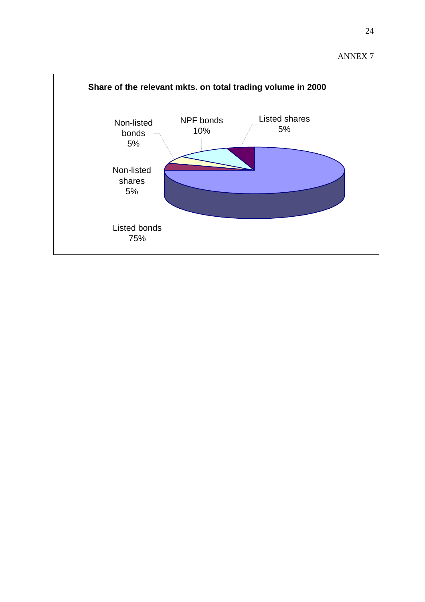